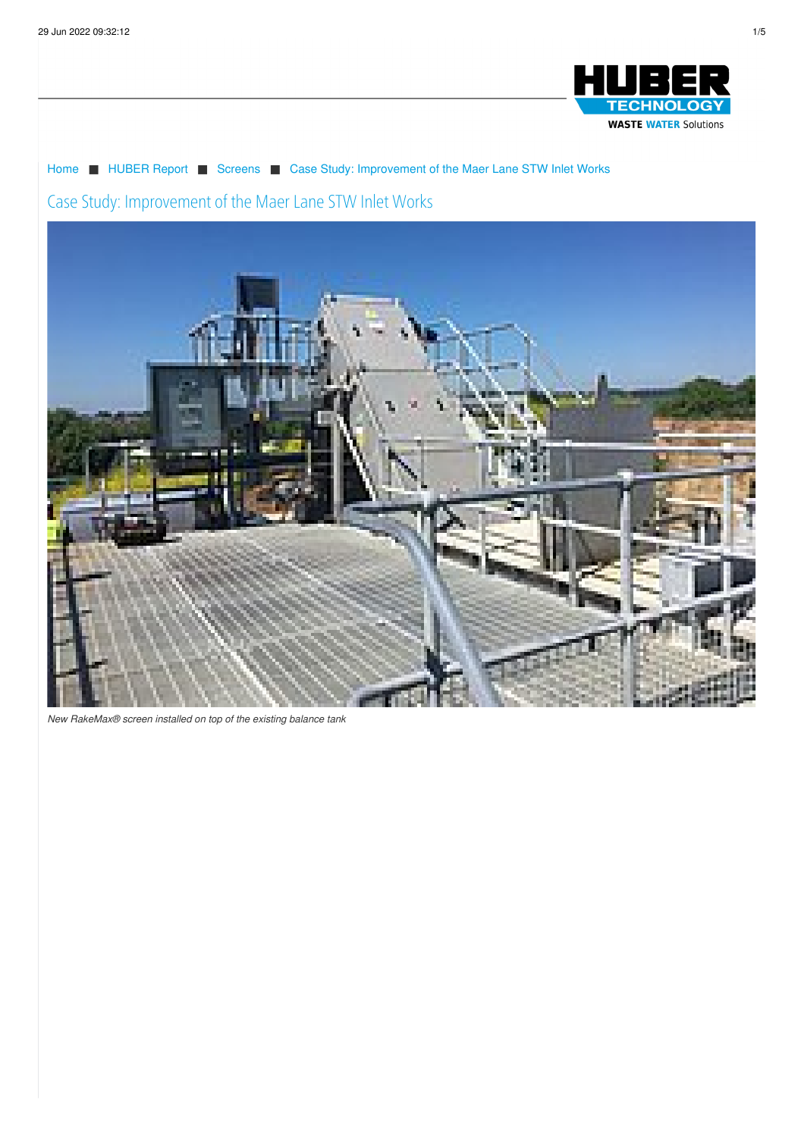

# [Home](/) ■ [HUBER](/huber-report.html) Report ■ [Screens](/huber-report/ablage-berichte/screens.html) ■ Case Study: [Improvement](/huber-raporu/ablage-berichte/screens/case-study-improvement-of-the-maer-lane-stw-inlet-works.html) of the Maer Lane STW Inlet Works

## Case Study: Improvement of the Maer Lane STW Inlet Works



*New [RakeMax®](/imprint/privacy-policy.html) screen installed on top of the existing balance tank*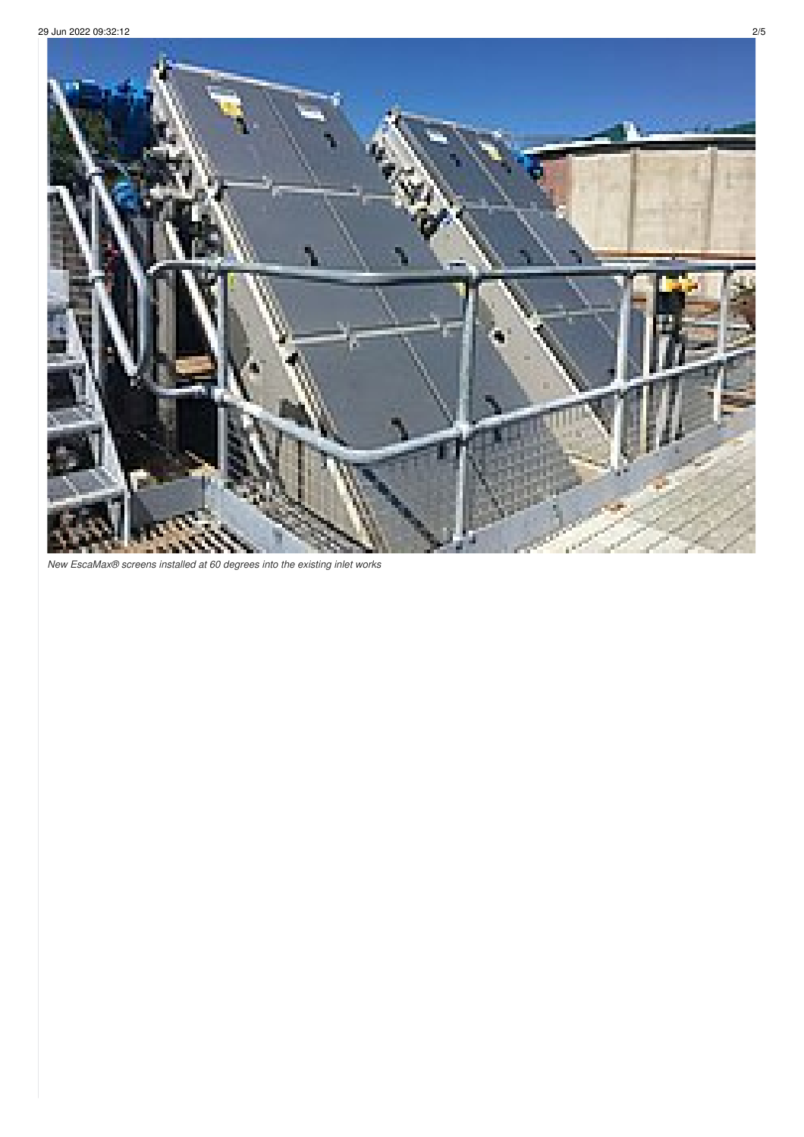

*New EscaMax® screens installed at 60 degrees into the existing inlet works*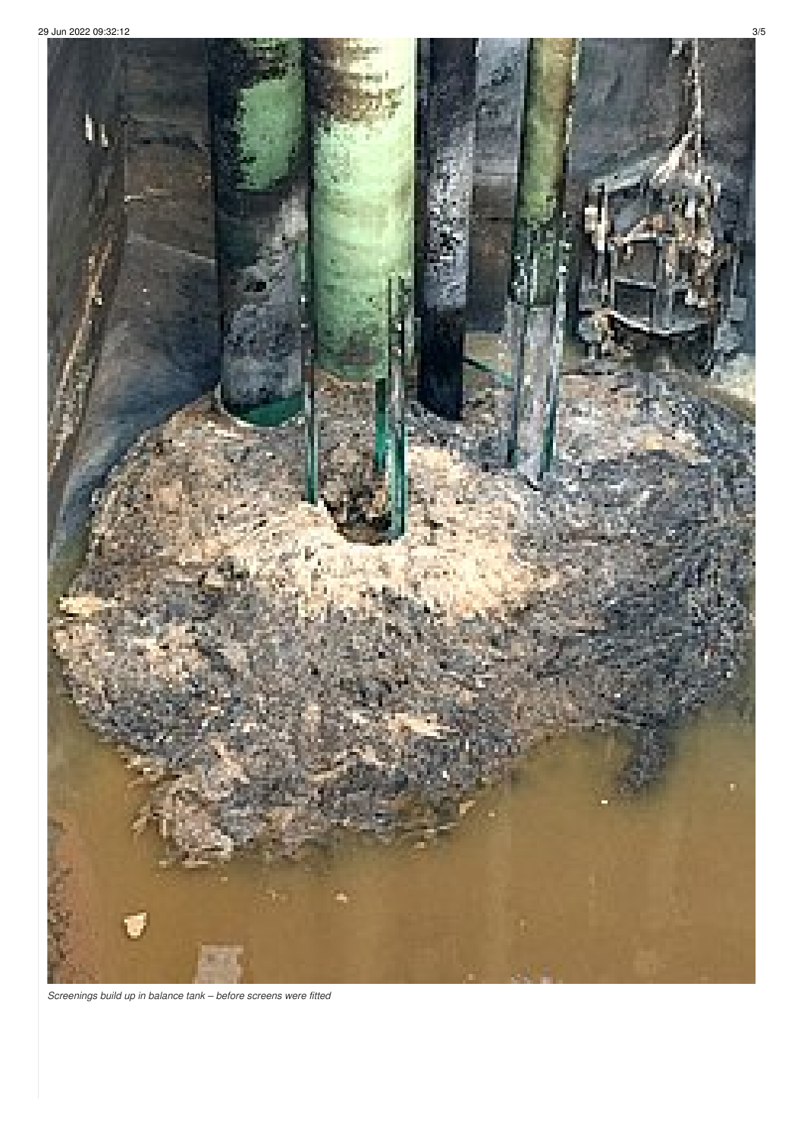

Screenings build up in balance tank - before screens were fitted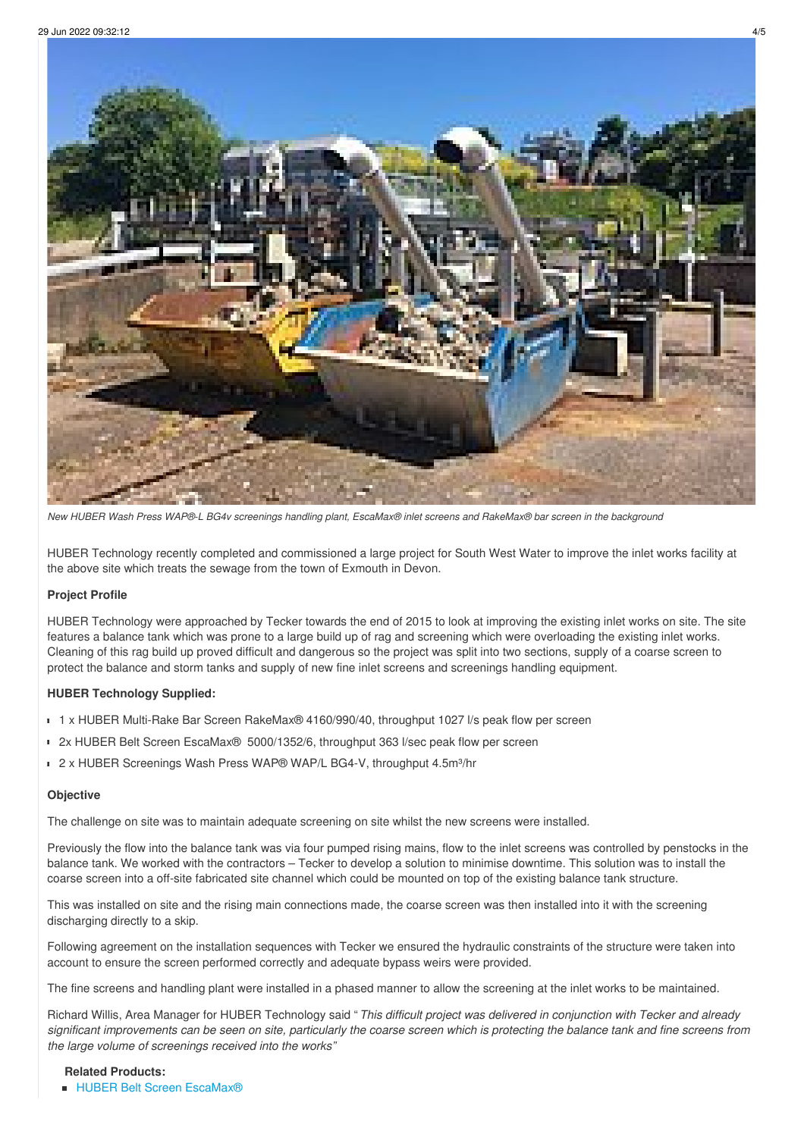

New HUBER Wash Press WAP®-L BG4v screenings handling plant, EscaMax® inlet screens and RakeMax® bar screen in the background

HUBER Technology recently completed and commissioned a large project for South West Water to improve the inlet works facility at the above site which treats the sewage from the town of Exmouth in Devon.

### **Project Profile**

HUBER Technology were approached by Tecker towards the end of 2015 to look at improving the existing inlet works on site. The site features a balance tank which was prone to a large build up of rag and screening which were overloading the existing inlet works. Cleaning of this rag build up proved difficult and dangerous so the project was split into two sections, supply of a coarse screen to protect the balance and storm tanks and supply of new fine inlet screens and screenings handling equipment.

### **HUBER Technology Supplied:**

- 1 x HUBER Multi-Rake Bar Screen RakeMax® 4160/990/40, throughput 1027 l/s peak flow per screen
- 2x HUBER Belt Screen EscaMax® 5000/1352/6, throughput 363 l/sec peak flow per screen
- 2 x HUBER Screenings Wash Press WAP<sup>®</sup> WAP/L BG4-V, throughput 4.5m<sup>3</sup>/hr

#### **Objective**

The challenge on site was to maintain adequate screening on site whilst the new screens were installed.

Previously the flow into the balance tank was via four pumped rising mains, flow to the inlet screens was controlled by penstocks in the balance tank. We worked with the contractors – Tecker to develop a solution to minimise downtime. This solution was to install the coarse screen into a off-site fabricated site channel which could be mounted on top of the existing balance tank structure.

This was installed on site and the rising main connections made, the coarse screen was then installed into it with the screening discharging directly to a skip.

Following agreement on the installation sequences with Tecker we ensured the hydraulic constraints of the structure were taken into account to ensure the screen performed correctly and adequate bypass weirs were provided.

The fine screens and handling plant were installed in a phased manner to allow the screening at the inlet works to be maintained.

Richard Willis, Area Manager for HUBER Technology said " *This difficult project was delivered in conjunction with Tecker and already* significant improvements can be seen on site, particularly the coarse screen which is protecting the balance tank and fine screens from *the large volume of screenings received into the works"*

**Related Products:** ■ HUBER Belt Screen [EscaMax®](/products/screens-and-fine-screens/perforated-plate-and-bar-screens/huber-belt-screen-escamaxr.html)